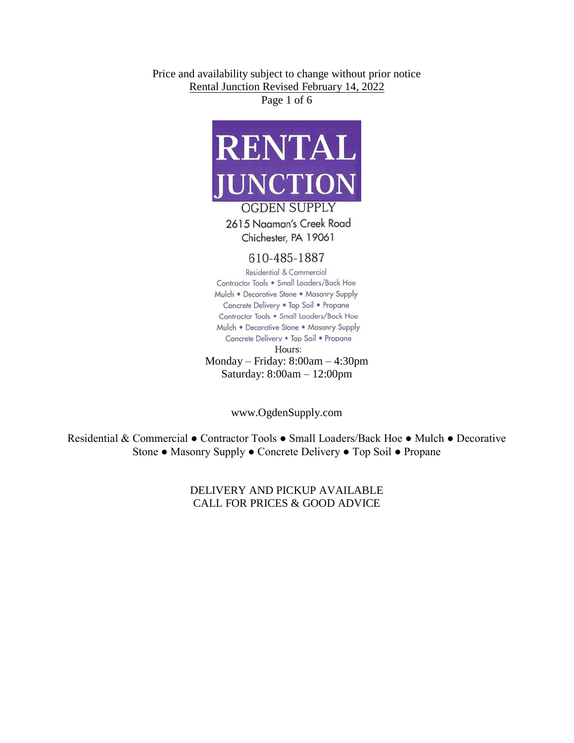Price and availability subject to change without prior notice Rental Junction Revised February 14, 2022

Page 1 of 6



Chichester, PA 19061

## 610-485-1887

Residential & Commercial Contractor Tools . Small Loaders/Back Hoe Mulch . Decorative Stone . Masonry Supply Concrete Delivery . Top Soil . Propane Contractor Tools . Small Loaders/Back Hoe Mulch . Decorative Stone . Masonry Supply Concrete Delivery . Top Soil . Propane Hours: Monday – Friday: 8:00am – 4:30pm Saturday: 8:00am – 12:00pm

www.OgdenSupply.com

Residential & Commercial ● Contractor Tools ● Small Loaders/Back Hoe ● Mulch ● Decorative Stone ● Masonry Supply ● Concrete Delivery ● Top Soil ● Propane

## DELIVERY AND PICKUP AVAILABLE CALL FOR PRICES & GOOD ADVICE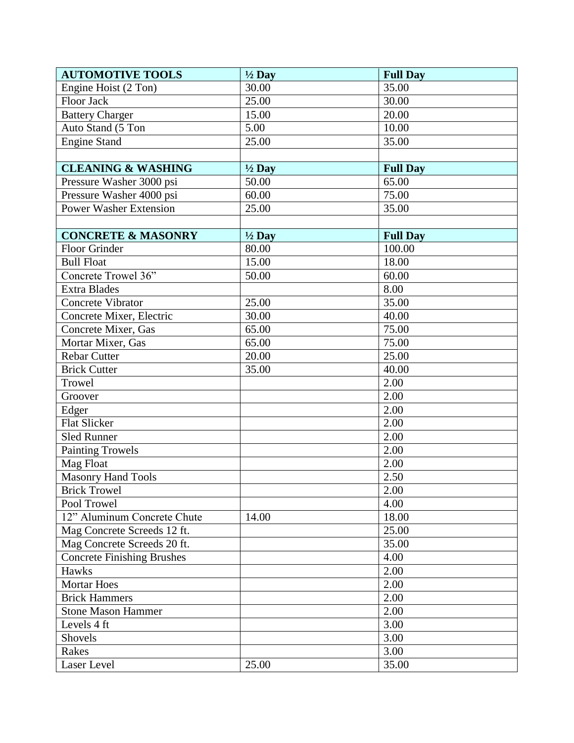| <b>AUTOMOTIVE TOOLS</b>           | $\frac{1}{2}$ Day | <b>Full Day</b> |
|-----------------------------------|-------------------|-----------------|
| Engine Hoist (2 Ton)              | 30.00             | 35.00           |
| Floor Jack                        | 25.00             | 30.00           |
| <b>Battery Charger</b>            | 15.00             | 20.00           |
| Auto Stand (5 Ton                 | 5.00              | 10.00           |
| <b>Engine Stand</b>               | 25.00             | 35.00           |
|                                   |                   |                 |
| <b>CLEANING &amp; WASHING</b>     | $\frac{1}{2}$ Day | <b>Full Day</b> |
| Pressure Washer 3000 psi          | 50.00             | 65.00           |
| Pressure Washer 4000 psi          | 60.00             | 75.00           |
| <b>Power Washer Extension</b>     | 25.00             | 35.00           |
|                                   |                   |                 |
| <b>CONCRETE &amp; MASONRY</b>     | $\frac{1}{2}$ Day | <b>Full Day</b> |
| Floor Grinder                     | 80.00             | 100.00          |
| <b>Bull Float</b>                 | 15.00             | 18.00           |
| Concrete Trowel 36"               | 50.00             | 60.00           |
| <b>Extra Blades</b>               |                   | 8.00            |
| Concrete Vibrator                 | 25.00             | 35.00           |
| Concrete Mixer, Electric          | 30.00             | 40.00           |
| Concrete Mixer, Gas               | 65.00             | 75.00           |
| Mortar Mixer, Gas                 | 65.00             | 75.00           |
| <b>Rebar Cutter</b>               | 20.00             | 25.00           |
| <b>Brick Cutter</b>               | 35.00             | 40.00           |
| Trowel                            |                   | 2.00            |
| Groover                           |                   | 2.00            |
| Edger                             |                   | 2.00            |
| Flat Slicker                      |                   | 2.00            |
| <b>Sled Runner</b>                |                   | 2.00            |
| <b>Painting Trowels</b>           |                   | 2.00            |
| Mag Float                         |                   | 2.00            |
| <b>Masonry Hand Tools</b>         |                   | 2.50            |
| <b>Brick Trowel</b>               |                   | 2.00            |
| Pool Trowel                       |                   | 4.00            |
| 12" Aluminum Concrete Chute       | 14.00             | 18.00           |
| Mag Concrete Screeds 12 ft.       |                   | 25.00           |
| Mag Concrete Screeds 20 ft.       |                   | 35.00           |
| <b>Concrete Finishing Brushes</b> |                   | 4.00            |
| Hawks                             |                   | 2.00            |
| <b>Mortar Hoes</b>                |                   | 2.00            |
| <b>Brick Hammers</b>              |                   | 2.00            |
| <b>Stone Mason Hammer</b>         |                   | 2.00            |
| Levels 4 ft                       |                   | 3.00            |
| Shovels                           |                   | 3.00            |
| Rakes                             |                   | 3.00            |
| Laser Level                       | 25.00             | 35.00           |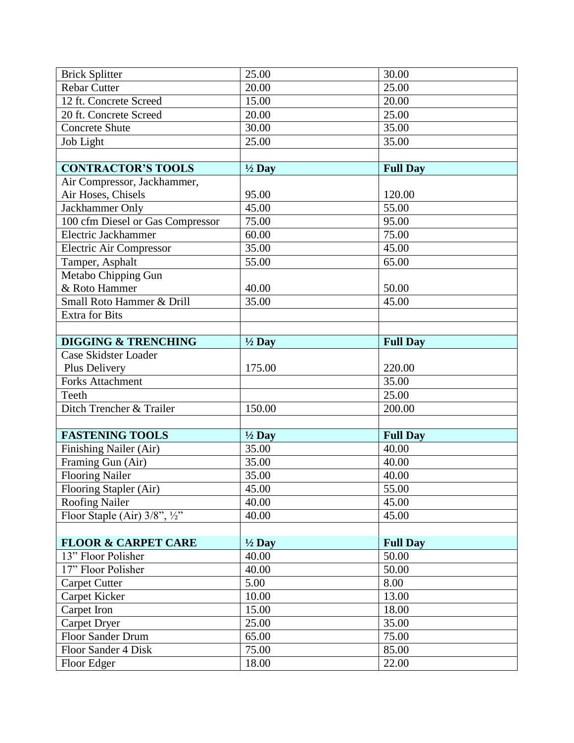| <b>Brick Splitter</b>                       | 25.00             | 30.00           |
|---------------------------------------------|-------------------|-----------------|
| <b>Rebar Cutter</b>                         | 20.00             | 25.00           |
| 12 ft. Concrete Screed                      | 15.00             | 20.00           |
| 20 ft. Concrete Screed                      | 20.00             | 25.00           |
| <b>Concrete Shute</b>                       | 30.00             | 35.00           |
| Job Light                                   | 25.00             | 35.00           |
|                                             |                   |                 |
| <b>CONTRACTOR'S TOOLS</b>                   | $\frac{1}{2}$ Day | <b>Full Day</b> |
| Air Compressor, Jackhammer,                 |                   |                 |
| Air Hoses, Chisels                          | 95.00             | 120.00          |
| Jackhammer Only                             | 45.00             | 55.00           |
| 100 cfm Diesel or Gas Compressor            | 75.00             | 95.00           |
| Electric Jackhammer                         | 60.00             | 75.00           |
| Electric Air Compressor                     | 35.00             | 45.00           |
| Tamper, Asphalt                             | 55.00             | 65.00           |
| Metabo Chipping Gun                         |                   |                 |
| & Roto Hammer                               | 40.00             | 50.00           |
| Small Roto Hammer & Drill                   | 35.00             | 45.00           |
| <b>Extra for Bits</b>                       |                   |                 |
|                                             |                   |                 |
| <b>DIGGING &amp; TRENCHING</b>              | $\frac{1}{2}$ Day | <b>Full Day</b> |
| Case Skidster Loader                        |                   |                 |
| Plus Delivery                               | 175.00            | 220.00          |
| <b>Forks Attachment</b>                     |                   | 35.00           |
| Teeth                                       |                   | 25.00           |
| Ditch Trencher & Trailer                    | 150.00            | 200.00          |
|                                             |                   |                 |
| <b>FASTENING TOOLS</b>                      | $\frac{1}{2}$ Day | <b>Full Day</b> |
| Finishing Nailer (Air)                      | 35.00             | 40.00           |
| Framing Gun (Air)                           | 35.00             | 40.00           |
| <b>Flooring Nailer</b>                      | 35.00             | 40.00           |
| Flooring Stapler (Air)                      | 45.00             | 55.00           |
| <b>Roofing Nailer</b>                       | 40.00             | 45.00           |
| Floor Staple (Air) $3/8$ ", $\frac{1}{2}$ " | 40.00             | 45.00           |
|                                             |                   |                 |
| <b>FLOOR &amp; CARPET CARE</b>              | $\frac{1}{2}$ Day | <b>Full Day</b> |
| 13" Floor Polisher                          | 40.00             | 50.00           |
| 17" Floor Polisher                          | 40.00             | 50.00           |
| <b>Carpet Cutter</b>                        | 5.00              | 8.00            |
| Carpet Kicker                               | 10.00             | 13.00           |
| Carpet Iron                                 | 15.00             | 18.00           |
| <b>Carpet Dryer</b>                         | 25.00             | 35.00           |
| Floor Sander Drum                           | 65.00             | 75.00           |
| Floor Sander 4 Disk                         | 75.00             | 85.00           |
| Floor Edger                                 | 18.00             | 22.00           |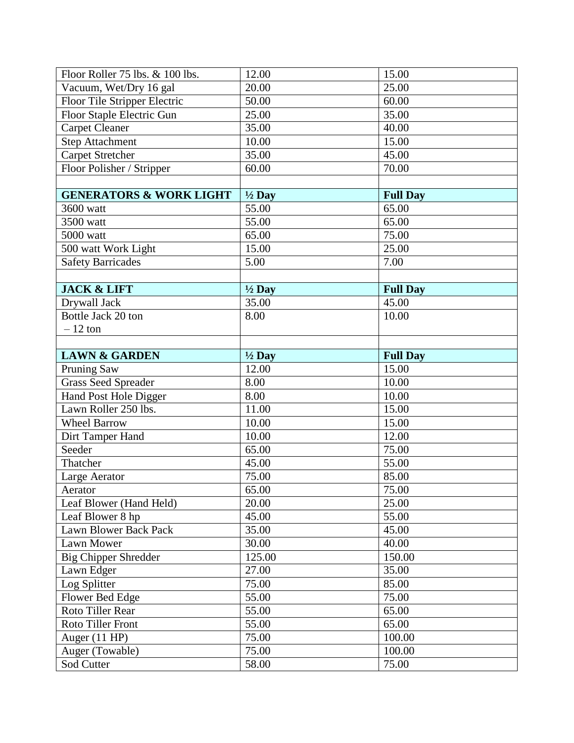| Floor Roller 75 lbs. & 100 lbs.    | 12.00             | 15.00           |
|------------------------------------|-------------------|-----------------|
| Vacuum, Wet/Dry 16 gal             | 20.00             | 25.00           |
| Floor Tile Stripper Electric       | 50.00             | 60.00           |
| Floor Staple Electric Gun          | 25.00             | 35.00           |
| <b>Carpet Cleaner</b>              | 35.00             | 40.00           |
| <b>Step Attachment</b>             | 10.00             | 15.00           |
| <b>Carpet Stretcher</b>            | 35.00             | 45.00           |
| Floor Polisher / Stripper          | 60.00             | 70.00           |
|                                    |                   |                 |
| <b>GENERATORS &amp; WORK LIGHT</b> | $\frac{1}{2}$ Day | <b>Full Day</b> |
| 3600 watt                          | 55.00             | 65.00           |
| 3500 watt                          | 55.00             | 65.00           |
| 5000 watt                          | 65.00             | 75.00           |
| 500 watt Work Light                | 15.00             | 25.00           |
| <b>Safety Barricades</b>           | 5.00              | 7.00            |
|                                    |                   |                 |
| <b>JACK &amp; LIFT</b>             | $\frac{1}{2}$ Day | <b>Full Day</b> |
| Drywall Jack                       | 35.00             | 45.00           |
| Bottle Jack 20 ton                 | 8.00              | 10.00           |
| $-12$ ton                          |                   |                 |
|                                    |                   |                 |
| <b>LAWN &amp; GARDEN</b>           | $\frac{1}{2}$ Day | <b>Full Day</b> |
|                                    |                   |                 |
| <b>Pruning Saw</b>                 | 12.00             | 15.00           |
| <b>Grass Seed Spreader</b>         | 8.00              | 10.00           |
| Hand Post Hole Digger              | 8.00              | 10.00           |
| Lawn Roller 250 lbs.               | 11.00             | 15.00           |
| <b>Wheel Barrow</b>                | 10.00             | 15.00           |
| Dirt Tamper Hand                   | 10.00             | 12.00           |
| Seeder                             | 65.00             | 75.00           |
| Thatcher                           | 45.00             | 55.00           |
| Large Aerator                      | 75.00             | 85.00           |
| Aerator                            | 65.00             | 75.00           |
| Leaf Blower (Hand Held)            | 20.00             | 25.00           |
| Leaf Blower 8 hp                   | 45.00             | 55.00           |
| Lawn Blower Back Pack              | 35.00             | 45.00           |
| Lawn Mower                         | 30.00             | 40.00           |
| <b>Big Chipper Shredder</b>        | 125.00            | 150.00          |
| Lawn Edger                         | 27.00             | 35.00           |
| Log Splitter                       | 75.00             | 85.00           |
| Flower Bed Edge                    | 55.00             | 75.00           |
| Roto Tiller Rear                   | 55.00             | 65.00           |
| Roto Tiller Front                  | 55.00             | 65.00           |
| Auger (11 HP)                      | 75.00             | 100.00          |
| Auger (Towable)                    | 75.00             | 100.00          |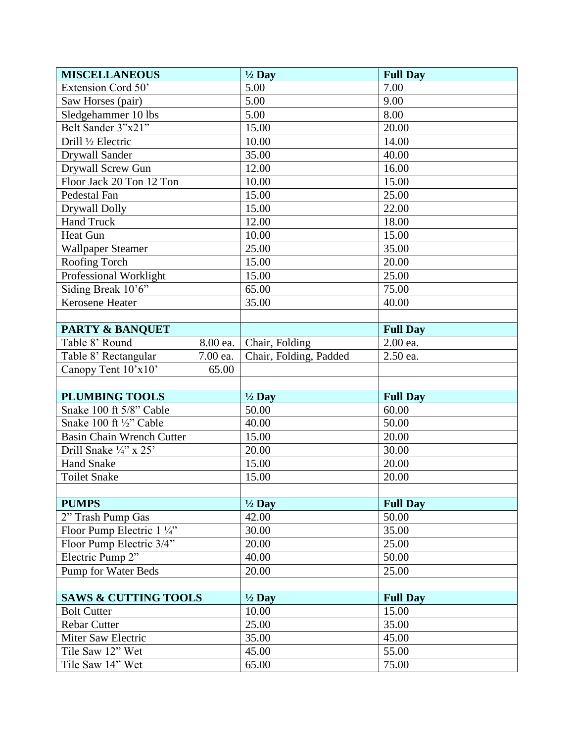| <b>MISCELLANEOUS</b>             | $\frac{1}{2}$ Day      | <b>Full Day</b> |
|----------------------------------|------------------------|-----------------|
| Extension Cord 50'               | 5.00                   | 7.00            |
| Saw Horses (pair)                | 5.00                   | 9.00            |
| Sledgehammer 10 lbs              | 5.00                   | 8.00            |
| Belt Sander 3"x21"               | 15.00                  | 20.00           |
| Drill 1/2 Electric               | 10.00                  | 14.00           |
| <b>Drywall Sander</b>            | 35.00                  | 40.00           |
| Drywall Screw Gun                | 12.00                  | 16.00           |
| Floor Jack 20 Ton 12 Ton         | 10.00                  | 15.00           |
| Pedestal Fan                     | 15.00                  | 25.00           |
| Drywall Dolly                    | 15.00                  | 22.00           |
| <b>Hand Truck</b>                | 12.00                  | 18.00           |
| <b>Heat Gun</b>                  | 10.00                  | 15.00           |
| <b>Wallpaper Steamer</b>         | 25.00                  | 35.00           |
| Roofing Torch                    | 15.00                  | 20.00           |
| Professional Worklight           | 15.00                  | 25.00           |
| Siding Break 10'6"               | 65.00                  | 75.00           |
| Kerosene Heater                  | 35.00                  | 40.00           |
|                                  |                        |                 |
| <b>PARTY &amp; BANQUET</b>       |                        | <b>Full Day</b> |
| Table 8' Round<br>8.00 ea.       | Chair, Folding         | 2.00 ea.        |
| Table 8' Rectangular<br>7.00 ea. | Chair, Folding, Padded | 2.50 ea.        |
| Canopy Tent 10'x10'<br>65.00     |                        |                 |
|                                  |                        |                 |
| <b>PLUMBING TOOLS</b>            | $\frac{1}{2}$ Day      | <b>Full Day</b> |
| Snake 100 ft 5/8" Cable          | 50.00                  | 60.00           |
| Snake 100 ft 1/2" Cable          | 40.00                  | 50.00           |
| <b>Basin Chain Wrench Cutter</b> | 15.00                  | 20.00           |
| Drill Snake 1/4" x 25"           | 20.00                  | 30.00           |
| <b>Hand Snake</b>                | 15.00                  | 20.00           |
| <b>Toilet Snake</b>              | 15.00                  | 20.00           |
|                                  |                        |                 |
| <b>PUMPS</b>                     | $\frac{1}{2}$ Day      | <b>Full Day</b> |
| 2" Trash Pump Gas                | 42.00                  | 50.00           |
| Floor Pump Electric 1 1/4"       | 30.00                  | 35.00           |
| Floor Pump Electric 3/4"         | 20.00                  | 25.00           |
| Electric Pump 2"                 | 40.00                  | 50.00           |
| Pump for Water Beds              | 20.00                  | 25.00           |
|                                  |                        |                 |
| <b>SAWS &amp; CUTTING TOOLS</b>  | $\frac{1}{2}$ Day      | <b>Full Day</b> |
| <b>Bolt Cutter</b>               | 10.00                  | 15.00           |
| <b>Rebar Cutter</b>              | 25.00                  | 35.00           |
| Miter Saw Electric               | 35.00                  | 45.00           |
| Tile Saw 12" Wet                 | 45.00                  | 55.00           |
| Tile Saw 14" Wet                 | 65.00                  | 75.00           |